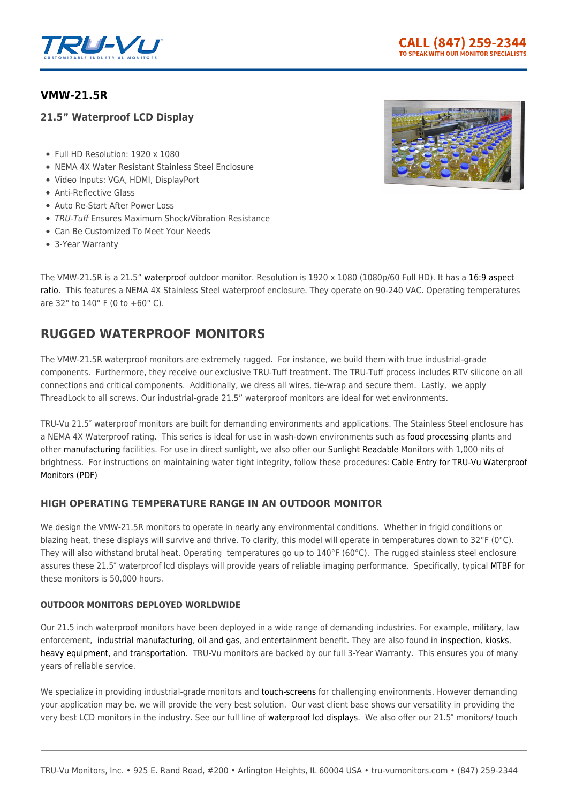

## **[VMW-21.5R](https://tru-vumonitors.com/products/vmw-21-5r/)**

## **21.5" Waterproof LCD Display**

- Full HD Resolution: 1920 x 1080
- NEMA 4X Water Resistant Stainless Steel Enclosure
- Video Inputs: VGA, HDMI, DisplayPort
- Anti-Reflective Glass
- Auto Re-Start After Power Loss
- TRU-Tuff Ensures Maximum Shock/Vibration Resistance
- Can Be Customized To Meet Your Needs
- 3-Year Warranty



The VMW-21.5R is a 21.5" [waterproof](https://tru-vumonitors.com/waterproof-monitors/) outdoor monitor. Resolution is 1920 x 1080 (1080p/60 Full HD). It has a [16:9 aspect](https://tru-vumonitors.com/16by9-monitors/) [ratio](https://tru-vumonitors.com/16by9-monitors/). This features a NEMA 4X Stainless Steel waterproof enclosure. They operate on 90-240 VAC. Operating temperatures are 32° to 140° F (0 to +60° C).

# **RUGGED WATERPROOF MONITORS**

The VMW-21.5R waterproof monitors are extremely rugged. For instance, we build them with true industrial-grade components. Furthermore, they receive our exclusive TRU-Tuff treatment. The TRU-Tuff process includes RTV silicone on all connections and critical components. Additionally, we dress all wires, tie-wrap and secure them. Lastly, we apply ThreadLock to all screws. Our industrial-grade 21.5" waterproof monitors are ideal for wet environments.

TRU-Vu 21.5″ waterproof monitors are built for demanding environments and applications. The Stainless Steel enclosure has a NEMA 4X Waterproof rating. This series is ideal for use in wash-down environments such as [food processing](https://tru-vumonitors.com/industries/food-beverage/) plants and other [manufacturing](https://tru-vumonitors.com/industries/industrial/) facilities. For use in direct sunlight, we also offer our [Sunlight Readable](https://tru-vumonitors.com/sunlight-readable-monitors/) Monitors with 1,000 nits of brightness. For instructions on maintaining water tight integrity, follow these procedures: [Cable Entry for TRU-Vu Waterproof](https://16xfon1vsba94cids52k0kzh-wpengine.netdna-ssl.com/wp-content/uploads/2020/01/Cable_Entry_for_Waterproof_Monitors.pdf) [Monitors \(PDF\)](https://16xfon1vsba94cids52k0kzh-wpengine.netdna-ssl.com/wp-content/uploads/2020/01/Cable_Entry_for_Waterproof_Monitors.pdf)

## **HIGH OPERATING TEMPERATURE RANGE IN AN OUTDOOR MONITOR**

We design the VMW-21.5R monitors to operate in nearly any environmental conditions. Whether in frigid conditions or blazing heat, these displays will survive and thrive. To clarify, this model will operate in temperatures down to  $32^{\circ}F$  (0°C). They will also withstand brutal heat. Operating temperatures go up to 140°F (60°C). The rugged stainless steel enclosure assures these 21.5″ waterproof lcd displays will provide years of reliable imaging performance. Specifically, typical [MTBF](https://en.wikipedia.org/wiki/Mean_time_between_failures) for these monitors is 50,000 hours.

#### **OUTDOOR MONITORS DEPLOYED WORLDWIDE**

Our 21.5 inch waterproof monitors have been deployed in a wide range of demanding industries. For example, [military,](https://tru-vumonitors.com/industries/military/) law enforcement, [industrial manufacturing](https://tru-vumonitors.com/industries/industrial/), [oil and gas](https://tru-vumonitors.com/industries/oil-gas/), and [entertainment](https://tru-vumonitors.com/industries/sports-stadiums/) benefit. They are also found in [inspection](https://tru-vumonitors.com/industries/automation-machine-vision/), [kiosks,](https://tru-vumonitors.com/industries/kiosks-vending/) [heavy equipment,](https://tru-vumonitors.com/industries/cranes-heavy-equipment/) and [transportation](https://tru-vumonitors.com/industries/mass-transit/). TRU-Vu monitors are backed by our full 3-Year Warranty. This ensures you of many years of reliable service.

We specialize in providing industrial-grade monitors and [touch-screens](https://tru-vumonitors.com/touch-screen-monitors/) for challenging environments. However demanding your application may be, we will provide the very best solution. Our vast client base shows our versatility in providing the very best LCD monitors in the industry. See our full line of [waterproof lcd displays](https://tru-vumonitors.com/waterproof-monitors/). We also offer our 21.5″ monitors/ touch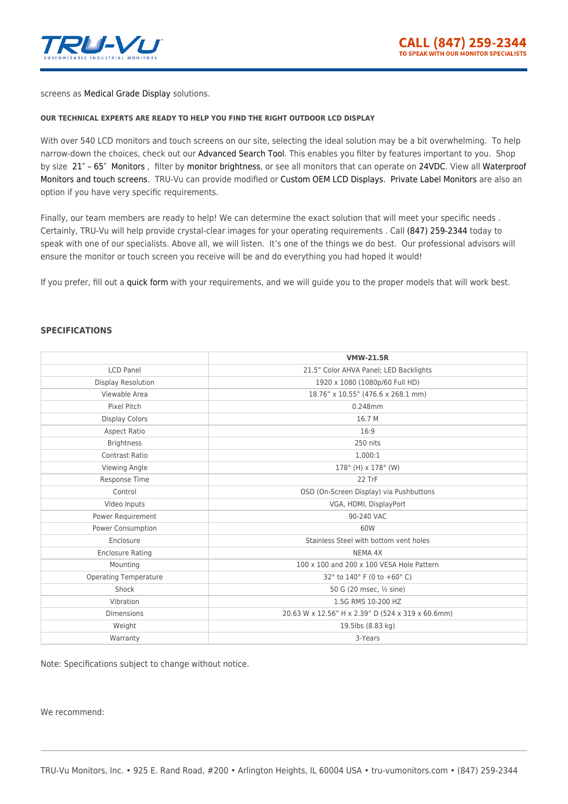

screens as [Medical Grade Display](https://tru-vumonitors.com/medical-displays/) solutions.

#### **OUR TECHNICAL EXPERTS ARE READY TO HELP YOU FIND THE RIGHT OUTDOOR LCD DISPLAY**

With over 540 LCD monitors and touch screens on our site, selecting the ideal solution may be a bit overwhelming. To help narrow-down the choices, check out our [Advanced Search Tool](https://tru-vumonitors.com/products/). This enables you filter by features important to you. Shop by size [21″ – 65″ Monitors](https://tru-vumonitors.com/21in-to-65in-monitors/) , filter by [monitor brightness](https://tru-vumonitors.com/standard-brightness-monitors/), or see all monitors that can operate on [24VDC.](https://tru-vumonitors.com/24vdc-monitors/) View all [Waterproof](https://tru-vumonitors.com/waterproof-monitors/) [Monitors and touch screens.](https://tru-vumonitors.com/waterproof-monitors/) TRU-Vu can provide modified or [Custom OEM LCD Displays.](https://tru-vumonitors.com/custom-monitors/) [Private Label Monitors](https://tru-vumonitors.com/private-label-monitors/) are also an option if you have very specific requirements.

Finally, our team members are ready to help! We can determine the exact solution that will meet your specific needs . Certainly, TRU-Vu will help provide crystal-clear images for your operating requirements . Call [\(847\) 259-2344](#page--1-0) today to speak with one of our specialists. Above all, we will listen. It's one of the things we do best. Our professional advisors will ensure the monitor or touch screen you receive will be and do everything you had hoped it would!

If you prefer, fill out a [quick form](https://tru-vumonitors.com/request-quote/) with your requirements, and we will guide you to the proper models that will work best.

#### **SPECIFICATIONS**

|                              | <b>VMW-21.5R</b>                                  |
|------------------------------|---------------------------------------------------|
| <b>LCD Panel</b>             | 21.5" Color AHVA Panel; LED Backlights            |
| <b>Display Resolution</b>    | 1920 x 1080 (1080p/60 Full HD)                    |
| Viewable Area                | 18.76" x 10.55" (476.6 x 268.1 mm)                |
| Pixel Pitch                  | 0.248mm                                           |
| <b>Display Colors</b>        | 16.7 M                                            |
| <b>Aspect Ratio</b>          | 16:9                                              |
| <b>Brightness</b>            | 250 nits                                          |
| Contrast Ratio               | 1,000:1                                           |
| Viewing Angle                | $178^{\circ}$ (H) x $178^{\circ}$ (W)             |
| Response Time                | 22 TrF                                            |
| Control                      | OSD (On-Screen Display) via Pushbuttons           |
| Video Inputs                 | VGA, HDMI, DisplayPort                            |
| Power Requirement            | 90-240 VAC                                        |
| Power Consumption            | 60W                                               |
| Enclosure                    | Stainless Steel with bottom vent holes            |
| <b>Enclosure Rating</b>      | NEMA 4X                                           |
| Mounting                     | 100 x 100 and 200 x 100 VESA Hole Pattern         |
| <b>Operating Temperature</b> | 32° to 140° F (0 to +60° C)                       |
| Shock                        | 50 G (20 msec, ½ sine)                            |
| Vibration                    | 1.5G RMS 10-200 HZ                                |
| <b>Dimensions</b>            | 20.63 W x 12.56" H x 2.39" D (524 x 319 x 60.6mm) |
| Weight                       | 19.5lbs (8.83 kg)                                 |
| Warranty                     | 3-Years                                           |

Note: Specifications subject to change without notice.

We recommend: